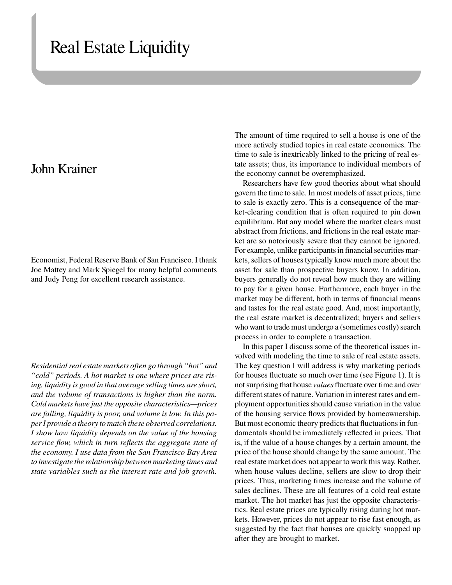# Real Estate Liquidity

# John Krainer

Economist, Federal Reserve Bank of San Francisco. I thank Joe Mattey and Mark Spiegel for many helpful comments and Judy Peng for excellent research assistance.

*Residential real estate markets often go through "hot" and "cold" periods. A hot market is one where prices are rising, liquidity is good in that average selling times are short, and the volume of transactions is higher than the norm. Cold markets have just the opposite characteristics—prices are falling, liquidity is poor, and volume is low. In this paper I provide a theory to match these observed correlations. I show how liquidity depends on the value of the housing service flow, which in turn reflects the aggregate state of the economy. I use data from the San Francisco Bay Area to investigate the relationship between marketing times and state variables such as the interest rate and job growth.* 

The amount of time required to sell a house is one of the more actively studied topics in real estate economics. The time to sale is inextricably linked to the pricing of real estate assets; thus, its importance to individual members of the economy cannot be overemphasized.

Researchers have few good theories about what should govern the time to sale. In most models of asset prices, time to sale is exactly zero. This is a consequence of the market-clearing condition that is often required to pin down equilibrium. But any model where the market clears must abstract from frictions, and frictions in the real estate market are so notoriously severe that they cannot be ignored. For example, unlike participants in financial securities markets, sellers of houses typically know much more about the asset for sale than prospective buyers know. In addition, buyers generally do not reveal how much they are willing to pay for a given house. Furthermore, each buyer in the market may be different, both in terms of financial means and tastes for the real estate good. And, most importantly, the real estate market is decentralized; buyers and sellers who want to trade must undergo a (sometimes costly) search process in order to complete a transaction.

In this paper I discuss some of the theoretical issues involved with modeling the time to sale of real estate assets. The key question I will address is why marketing periods for houses fluctuate so much over time (see Figure 1). It is not surprising that house *values* fluctuate over time and over different states of nature. Variation in interest rates and employment opportunities should cause variation in the value of the housing service flows provided by homeownership. But most economic theory predicts that fluctuations in fundamentals should be immediately reflected in prices. That is, if the value of a house changes by a certain amount, the price of the house should change by the same amount. The real estate market does not appear to work this way. Rather, when house values decline, sellers are slow to drop their prices. Thus, marketing times increase and the volume of sales declines. These are all features of a cold real estate market. The hot market has just the opposite characteristics. Real estate prices are typically rising during hot markets. However, prices do not appear to rise fast enough, as suggested by the fact that houses are quickly snapped up after they are brought to market.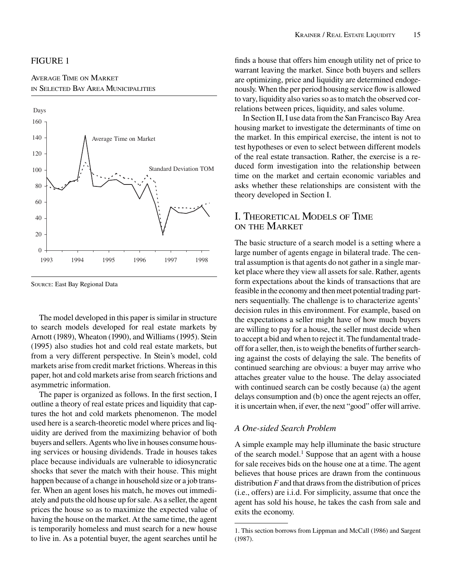#### FIGURE 1

#### AVERAGE TIME ON MARKET IN SELECTED BAY AREA MUNICIPALITIES



SOURCE: East Bay Regional Data

The model developed in this paper is similar in structure to search models developed for real estate markets by Arnott (1989), Wheaton (1990), and Williams (1995). Stein (1995) also studies hot and cold real estate markets, but from a very different perspective. In Stein's model, cold markets arise from credit market frictions. Whereas in this paper, hot and cold markets arise from search frictions and asymmetric information.

The paper is organized as follows. In the first section, I outline a theory of real estate prices and liquidity that captures the hot and cold markets phenomenon. The model used here is a search-theoretic model where prices and liquidity are derived from the maximizing behavior of both buyers and sellers. Agents who live in houses consume housing services or housing dividends. Trade in houses takes place because individuals are vulnerable to idiosyncratic shocks that sever the match with their house. This might happen because of a change in household size or a job transfer. When an agent loses his match, he moves out immediately and puts the old house up for sale. As a seller, the agent prices the house so as to maximize the expected value of having the house on the market. At the same time, the agent is temporarily homeless and must search for a new house to live in. As a potential buyer, the agent searches until he

finds a house that offers him enough utility net of price to warrant leaving the market. Since both buyers and sellers are optimizing, price and liquidity are determined endogenously. When the per period housing service flow is allowed to vary, liquidity also varies so as to match the observed correlations between prices, liquidity, and sales volume.

In Section II, I use data from the San Francisco Bay Area housing market to investigate the determinants of time on the market. In this empirical exercise, the intent is not to test hypotheses or even to select between different models of the real estate transaction. Rather, the exercise is a reduced form investigation into the relationship between time on the market and certain economic variables and asks whether these relationships are consistent with the theory developed in Section I.

# I. THEORETICAL MODELS OF TIME ON THE MARKET

The basic structure of a search model is a setting where a large number of agents engage in bilateral trade. The central assumption is that agents do not gather in a single market place where they view all assets for sale. Rather, agents form expectations about the kinds of transactions that are feasible in the economy and then meet potential trading partners sequentially. The challenge is to characterize agents' decision rules in this environment. For example, based on the expectations a seller might have of how much buyers are willing to pay for a house, the seller must decide when to accept a bid and when to reject it. The fundamental tradeoff for a seller, then, is to weigh the benefits of further searching against the costs of delaying the sale. The benefits of continued searching are obvious: a buyer may arrive who attaches greater value to the house. The delay associated with continued search can be costly because (a) the agent delays consumption and (b) once the agent rejects an offer, it is uncertain when, if ever, the next "good" offer will arrive.

#### *A One-sided Search Problem*

A simple example may help illuminate the basic structure of the search model.<sup>1</sup> Suppose that an agent with a house for sale receives bids on the house one at a time. The agent believes that house prices are drawn from the continuous distribution *F* and that draws from the distribution of prices (i.e., offers) are i.i.d. For simplicity, assume that once the agent has sold his house, he takes the cash from sale and exits the economy.

<sup>1.</sup> This section borrows from Lippman and McCall (1986) and Sargent (1987).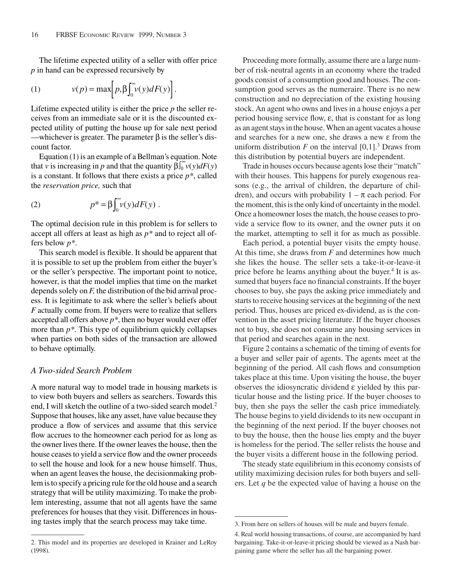The lifetime expected utility of a seller with offer price *p* in hand can be expressed recursively by

(1) 
$$
v(p) = \max \bigg[ p, \beta \int_0^\infty v(y) dF(y) \bigg].
$$

Lifetime expected utility is either the price *p* the seller receives from an immediate sale or it is the discounted expected utility of putting the house up for sale next period —whichever is greater. The parameter  $β$  is the seller's discount factor.

Equation (1) is an example of a Bellman's equation. Note that *v* is increasing in *p* and that the quantity  $\beta \int_0^\infty v(y) dF(y)$ is a constant. It follows that there exists a price *p\**, called the *reservation price,* such that

(2) 
$$
p^* = \beta \int_0^\infty v(y) dF(y) .
$$

The optimal decision rule in this problem is for sellers to accept all offers at least as high as *p\** and to reject all offers below *p\**.

This search model is flexible. It should be apparent that it is possible to set up the problem from either the buyer's or the seller's perspective. The important point to notice, however, is that the model implies that time on the market depends solely on *F,* the distribution of the bid arrival process. It is legitimate to ask where the seller's beliefs about *F* actually come from. If buyers were to realize that sellers accepted all offers above  $p^*$ , then no buyer would ever offer more than *p\**. This type of equilibrium quickly collapses when parties on both sides of the transaction are allowed to behave optimally.

#### *A Two-sided Search Problem*

A more natural way to model trade in housing markets is to view both buyers and sellers as searchers. Towards this end, I will sketch the outline of a two-sided search model.<sup>2</sup> Suppose that houses, like any asset, have value because they produce a flow of services and assume that this service flow accrues to the homeowner each period for as long as the owner lives there. If the owner leaves the house, then the house ceases to yield a service flow and the owner proceeds to sell the house and look for a new house himself. Thus, when an agent leaves the house, the decisionmaking problem is to specify a pricing rule for the old house and a search strategy that will be utility maximizing. To make the problem interesting, assume that not all agents have the same preferences for houses that they visit. Differences in housing tastes imply that the search process may take time.

2. This model and its properties are developed in Krainer and LeRoy (1998).

Proceeding more formally, assume there are a large number of risk-neutral agents in an economy where the traded goods consist of a consumption good and houses. The consumption good serves as the numeraire. There is no new construction and no depreciation of the existing housing stock. An agent who owns and lives in a house enjoys a per period housing service flow, ε, that is constant for as long as an agent stays in the house. When an agent vacates a house and searches for a new one, she draws a new ε from the uniform distribution  $F$  on the interval  $[0,1]$ .<sup>3</sup> Draws from this distribution by potential buyers are independent.

Trade in houses occurs because agents lose their "match" with their houses. This happens for purely exogenous reasons (e.g., the arrival of children, the departure of children), and occurs with probability  $1 - \pi$  each period. For the moment, this is the only kind of uncertainty in the model. Once a homeowner loses the match, the house ceases to provide a service flow to its owner, and the owner puts it on the market, attempting to sell it for as much as possible.

Each period, a potential buyer visits the empty house. At this time, she draws from *F* and determines how much she likes the house. The seller sets a take-it-or-leave-it price before he learns anything about the buyer.<sup>4</sup> It is assumed that buyers face no financial constraints. If the buyer chooses to buy, she pays the asking price immediately and starts to receive housing services at the beginning of the next period. Thus, houses are priced ex-dividend, as is the convention in the asset pricing literature. If the buyer chooses not to buy, she does not consume any housing services in that period and searches again in the next.

Figure 2 contains a schematic of the timing of events for a buyer and seller pair of agents. The agents meet at the beginning of the period. All cash flows and consumption takes place at this time. Upon visiting the house, the buyer observes the idiosyncratic dividend ε yielded by this particular house and the listing price. If the buyer chooses to buy, then she pays the seller the cash price immediately. The house begins to yield dividends to its new occupant in the beginning of the next period. If the buyer chooses not to buy the house, then the house lies empty and the buyer is homeless for the period. The seller relists the house and the buyer visits a different house in the following period.

The steady state equilibrium in this economy consists of utility maximizing decision rules for both buyers and sellers. Let *q* be the expected value of having a house on the

<sup>3.</sup> From here on sellers of houses will be male and buyers female.

<sup>4.</sup> Real world housing transactions, of course, are accompanied by hard bargaining. Take-it-or-leave-it pricing should be viewed as a Nash bargaining game where the seller has all the bargaining power.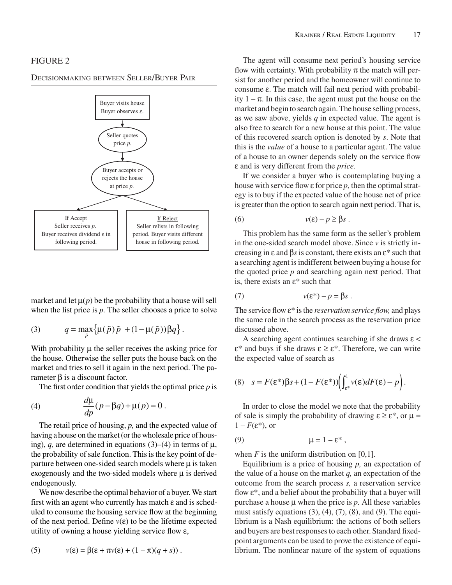#### FIGURE 2

DECISIONMAKING BETWEEN SELLER/BUYER PAIR



market and let  $\mu(p)$  be the probability that a house will sell when the list price is *p.* The seller chooses a price to solve

(3) 
$$
q = \max_{\tilde{p}} \{ \mu(\tilde{p}) \tilde{p} + (1 - \mu(\tilde{p})) \beta q \}.
$$

With probability  $\mu$  the seller receives the asking price for the house. Otherwise the seller puts the house back on the market and tries to sell it again in the next period. The parameter β is a discount factor.

The first order condition that yields the optimal price *p* is

(4) 
$$
\frac{d\mu}{dp}(p-\beta q) + \mu(p) = 0.
$$

The retail price of housing, *p,* and the expected value of having a house on the market (or the wholesale price of housing), *q*, are determined in equations (3)–(4) in terms of  $\mu$ , the probability of sale function. This is the key point of departure between one-sided search models where  $\mu$  is taken exogenously and the two-sided models where  $\mu$  is derived endogenously.

We now describe the optimal behavior of a buyer. We start first with an agent who currently has match  $\varepsilon$  and is scheduled to consume the housing service flow at the beginning of the next period. Define  $v(\varepsilon)$  to be the lifetime expected utility of owning a house yielding service flow  $\varepsilon$ ,

(5) 
$$
v(\varepsilon) = \beta(\varepsilon + \pi v(\varepsilon) + (1 - \pi)(q + s)).
$$

The agent will consume next period's housing service flow with certainty. With probability  $\pi$  the match will persist for another period and the homeowner will continue to consume ε. The match will fail next period with probability  $1 - \pi$ . In this case, the agent must put the house on the market and begin to search again. The house selling process, as we saw above, yields *q* in expected value. The agent is also free to search for a new house at this point. The value of this recovered search option is denoted by *s*. Note that this is the *value* of a house to a particular agent. The value of a house to an owner depends solely on the service flow ε and is very different from the *price.*

If we consider a buyer who is contemplating buying a house with service flow ε for price *p,* then the optimal strategy is to buy if the expected value of the house net of price is greater than the option to search again next period. That is,

$$
(6) \t v(\varepsilon) - p \ge \beta s \ .
$$

This problem has the same form as the seller's problem in the one-sided search model above. Since *v* is strictly increasing in ε and β*s*is constant, there exists an ε\* such that a searching agent is indifferent between buying a house for the quoted price *p* and searching again next period. That is, there exists an  $\varepsilon^*$  such that

(7) 
$$
v(\varepsilon^*) - p = \beta s.
$$

The service flow ε\* is the *reservation service flow,* and plays the same role in the search process as the reservation price discussed above.

A searching agent continues searching if she draws  $\varepsilon$  < ε\* and buys if she draws ε≥ε\*. Therefore, we can write the expected value of search as

(8) 
$$
s = F(\varepsilon^*)\beta s + (1 - F(\varepsilon^*)) \left( \int_{\varepsilon^*}^1 v(\varepsilon) dF(\varepsilon) - p \right).
$$

In order to close the model we note that the probability of sale is simply the probability of drawing  $\varepsilon \geq \varepsilon^*$ , or  $\mu =$  $1 - F(\varepsilon^*)$ , or

$$
(9) \hspace{1cm} \mu = 1 - \varepsilon^* \; ,
$$

when  $F$  is the uniform distribution on [0,1].

Equilibrium is a price of housing *p,* an expectation of the value of a house on the market *q,* an expectation of the outcome from the search process *s,* a reservation service flow  $\varepsilon^*$ , and a belief about the probability that a buyer will purchase a house  $\mu$  when the price is  $p$ . All these variables must satisfy equations  $(3)$ ,  $(4)$ ,  $(7)$ ,  $(8)$ , and  $(9)$ . The equilibrium is a Nash equilibrium: the actions of both sellers and buyers are best responses to each other. Standard fixedpoint arguments can be used to prove the existence of equilibrium. The nonlinear nature of the system of equations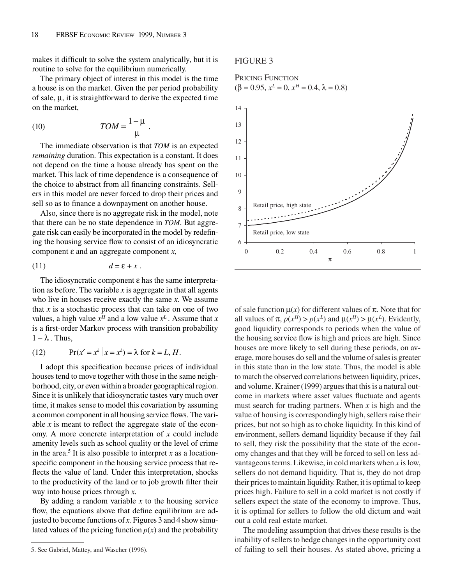makes it difficult to solve the system analytically, but it is routine to solve for the equilibrium numerically.

The primary object of interest in this model is the time a house is on the market. Given the per period probability of sale, µ, it is straightforward to derive the expected time on the market,

(10) *TOM* <sup>=</sup> <sup>1</sup>− µ <sup>µ</sup> .

The immediate observation is that *TOM* is an expected *remaining* duration. This expectation is a constant. It does not depend on the time a house already has spent on the market. This lack of time dependence is a consequence of the choice to abstract from all financing constraints. Sellers in this model are never forced to drop their prices and sell so as to finance a downpayment on another house.

Also, since there is no aggregate risk in the model, note that there can be no state dependence in *TOM*. But aggregate risk can easily be incorporated in the model by redefining the housing service flow to consist of an idiosyncratic component ε and an aggregate component *x,*

$$
(11) \t\t d = \varepsilon + x.
$$

The idiosyncratic component ε has the same interpretation as before. The variable  $x$  is aggregate in that all agents who live in houses receive exactly the same *x.* We assume that  $x$  is a stochastic process that can take on one of two values, a high value  $x^H$  and a low value  $x^L$ . Assume that *x* is a first-order Markov process with transition probability  $1 - \lambda$ . Thus,

(12) 
$$
\Pr(x' = x^k | x = x^k) = \lambda \text{ for } k = L, H.
$$

I adopt this specification because prices of individual houses tend to move together with those in the same neighborhood, city, or even within a broader geographical region. Since it is unlikely that idiosyncratic tastes vary much over time, it makes sense to model this covariation by assuming a common component in all housing service flows. The variable *x* is meant to reflect the aggregate state of the economy. A more concrete interpretation of *x* could include amenity levels such as school quality or the level of crime in the area.<sup>5</sup> It is also possible to interpret  $x$  as a locationspecific component in the housing service process that reflects the value of land. Under this interpretation, shocks to the productivity of the land or to job growth filter their way into house prices through *x.*

By adding a random variable  $x$  to the housing service flow, the equations above that define equilibrium are adjusted to become functions of *x.* Figures 3 and 4 show simulated values of the pricing function  $p(x)$  and the probability

#### FIGURE 3

#### PRICING FUNCTION  $(\beta = 0.95, x^L = 0, x^H = 0.4, \lambda = 0.8)$



of sale function  $\mu(x)$  for different values of  $\pi$ . Note that for all values of  $\pi$ ,  $p(x^H) > p(x^L)$  and  $\mu(x^H) > \mu(x^L)$ . Evidently, good liquidity corresponds to periods when the value of the housing service flow is high and prices are high. Since houses are more likely to sell during these periods, on average, more houses do sell and the volume of sales is greater in this state than in the low state. Thus, the model is able to match the observed correlations between liquidity, prices, and volume. Krainer (1999) argues that this is a natural outcome in markets where asset values fluctuate and agents must search for trading partners. When *x* is high and the value of housing is correspondingly high, sellers raise their prices, but not so high as to choke liquidity. In this kind of environment, sellers demand liquidity because if they fail to sell, they risk the possibility that the state of the economy changes and that they will be forced to sell on less advantageous terms. Likewise, in cold markets when *x* is low, sellers do not demand liquidity. That is, they do not drop their prices to maintain liquidity. Rather, it is optimal to keep prices high. Failure to sell in a cold market is not costly if sellers expect the state of the economy to improve. Thus, it is optimal for sellers to follow the old dictum and wait out a cold real estate market.

The modeling assumption that drives these results is the inability of sellers to hedge changes in the opportunity cost 5. See Gabriel, Mattey, and Wascher (1996). of failing to sell their houses. As stated above, pricing a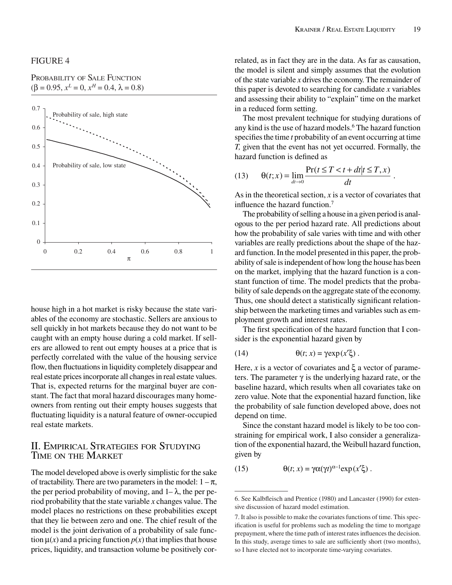### PROBABILITY OF SALE FUNCTION  $(\beta = 0.95, x^L = 0, x^H = 0.4, \lambda = 0.8)$



house high in a hot market is risky because the state variables of the economy are stochastic. Sellers are anxious to sell quickly in hot markets because they do not want to be caught with an empty house during a cold market. If sellers are allowed to rent out empty houses at a price that is perfectly correlated with the value of the housing service flow, then fluctuations in liquidity completely disappear and real estate prices incorporate all changes in real estate values. That is, expected returns for the marginal buyer are constant. The fact that moral hazard discourages many homeowners from renting out their empty houses suggests that fluctuating liquidity is a natural feature of owner-occupied real estate markets.

## II. EMPIRICAL STRATEGIES FOR STUDYING TIME ON THE MARKET

The model developed above is overly simplistic for the sake of tractability. There are two parameters in the model:  $1 - \pi$ , the per period probability of moving, and  $1-\lambda$ , the per period probability that the state variable *x* changes value. The model places no restrictions on these probabilities except that they lie between zero and one. The chief result of the model is the joint derivation of a probability of sale function  $\mu(x)$  and a pricing function  $p(x)$  that implies that house prices, liquidity, and transaction volume be positively correlated, as in fact they are in the data. As far as causation, the model is silent and simply assumes that the evolution of the state variable *x* drives the economy. The remainder of this paper is devoted to searching for candidate *x* variables and assessing their ability to "explain" time on the market in a reduced form setting.

The most prevalent technique for studying durations of any kind is the use of hazard models.<sup>6</sup> The hazard function specifies the time *t* probability of an event occurring at time *T,* given that the event has not yet occurred. Formally, the hazard function is defined as

(13) 
$$
\theta(t;x) = \lim_{dt \to 0} \frac{\Pr(t \leq T < t + dt | t \leq T, x)}{dt}.
$$

As in the theoretical section, *x* is a vector of covariates that influence the hazard function.7

The probability of selling a house in a given period is analogous to the per period hazard rate. All predictions about how the probability of sale varies with time and with other variables are really predictions about the shape of the hazard function. In the model presented in this paper, the probability of sale is independent of how long the house has been on the market, implying that the hazard function is a constant function of time. The model predicts that the probability of sale depends on the aggregate state of the economy. Thus, one should detect a statistically significant relationship between the marketing times and variables such as employment growth and interest rates.

The first specification of the hazard function that I consider is the exponential hazard given by

(14) 
$$
\theta(t; x) = \gamma \exp(x'\xi).
$$

Here, *x* is a vector of covariates and  $\xi$  a vector of parameters. The parameter  $\gamma$  is the underlying hazard rate, or the baseline hazard, which results when all covariates take on zero value. Note that the exponential hazard function, like the probability of sale function developed above, does not depend on time.

Since the constant hazard model is likely to be too constraining for empirical work, I also consider a generalization of the exponential hazard, the Weibull hazard function, given by

(15) 
$$
\theta(t; x) = \gamma \alpha(\gamma t)^{\alpha - 1} \exp(x' \xi).
$$

<sup>6.</sup> See Kalbfleisch and Prentice (1980) and Lancaster (1990) for extensive discussion of hazard model estimation.

<sup>7.</sup> It also is possible to make the covariates functions of time. This specification is useful for problems such as modeling the time to mortgage prepayment, where the time path of interest rates influences the decision. In this study, average times to sale are sufficiently short (two months), so I have elected not to incorporate time-varying covariates.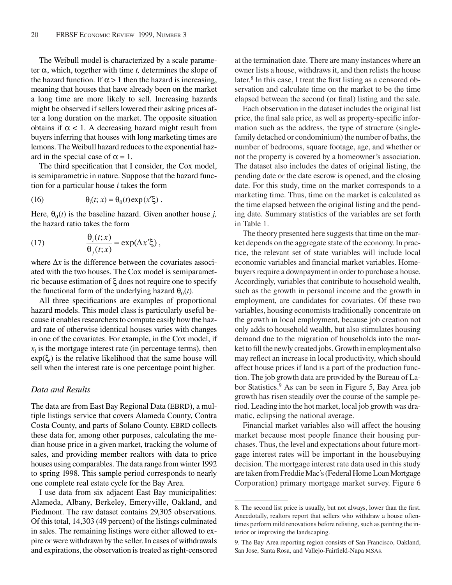The Weibull model is characterized by a scale parameter  $\alpha$ , which, together with time *t*, determines the slope of the hazard function. If  $\alpha > 1$  then the hazard is increasing, meaning that houses that have already been on the market a long time are more likely to sell. Increasing hazards might be observed if sellers lowered their asking prices after a long duration on the market. The opposite situation obtains if  $\alpha$  < 1. A decreasing hazard might result from buyers inferring that houses with long marketing times are lemons. The Weibull hazard reduces to the exponential hazard in the special case of  $\alpha = 1$ .

The third specification that I consider, the Cox model, is semiparametric in nature. Suppose that the hazard function for a particular house *i* takes the form

(16) 
$$
\theta_i(t; x) = \theta_0(t) \exp(x'\xi).
$$

Here,  $\theta_0(t)$  is the baseline hazard. Given another house *j*, the hazard ratio takes the form

(17) 
$$
\frac{\theta_i(t;x)}{\theta_j(t;x)} = \exp(\Delta x' \xi),
$$

where ∆*x* is the difference between the covariates associated with the two houses. The Cox model is semiparametric because estimation of ξ does not require one to specify the functional form of the underlying hazard  $\theta_0(t)$ .

All three specifications are examples of proportional hazard models. This model class is particularly useful because it enables researchers to compute easily how the hazard rate of otherwise identical houses varies with changes in one of the covariates. For example, in the Cox model, if  $x<sub>l</sub>$  is the mortgage interest rate (in percentage terms), then  $exp(\xi_l)$  is the relative likelihood that the same house will sell when the interest rate is one percentage point higher.

#### *Data and Results*

The data are from East Bay Regional Data (EBRD), a multiple listings service that covers Alameda County, Contra Costa County, and parts of Solano County. EBRD collects these data for, among other purposes, calculating the median house price in a given market, tracking the volume of sales, and providing member realtors with data to price houses using comparables. The data range from winter 1992 to spring 1998. This sample period corresponds to nearly one complete real estate cycle for the Bay Area.

I use data from six adjacent East Bay municipalities: Alameda, Albany, Berkeley, Emeryville, Oakland, and Piedmont. The raw dataset contains 29,305 observations. Of this total, 14,303 (49 percent) of the listings culminated in sales. The remaining listings were either allowed to expire or were withdrawn by the seller. In cases of withdrawals and expirations, the observation is treated as right-censored at the termination date. There are many instances where an owner lists a house, withdraws it, and then relists the house later.8 In this case, I treat the first listing as a censored observation and calculate time on the market to be the time elapsed between the second (or final) listing and the sale.

Each observation in the dataset includes the original list price, the final sale price, as well as property-specific information such as the address, the type of structure (singlefamily detached or condominium) the number of baths, the number of bedrooms, square footage, age, and whether or not the property is covered by a homeowner's association. The dataset also includes the dates of original listing, the pending date or the date escrow is opened, and the closing date. For this study, time on the market corresponds to a marketing time. Thus, time on the market is calculated as the time elapsed between the original listing and the pending date. Summary statistics of the variables are set forth in Table 1.

The theory presented here suggests that time on the market depends on the aggregate state of the economy. In practice, the relevant set of state variables will include local economic variables and financial market variables. Homebuyers require a downpayment in order to purchase a house. Accordingly, variables that contribute to household wealth, such as the growth in personal income and the growth in employment, are candidates for covariates. Of these two variables, housing economists traditionally concentrate on the growth in local employment, because job creation not only adds to household wealth, but also stimulates housing demand due to the migration of households into the market to fill the newly created jobs. Growth in employment also may reflect an increase in local productivity, which should affect house prices if land is a part of the production function. The job growth data are provided by the Bureau of Labor Statistics.<sup>9</sup> As can be seen in Figure 5, Bay Area job growth has risen steadily over the course of the sample period. Leading into the hot market, local job growth was dramatic, eclipsing the national average.

Financial market variables also will affect the housing market because most people finance their housing purchases. Thus, the level and expectations about future mortgage interest rates will be important in the housebuying decision. The mortgage interest rate data used in this study are taken from Freddie Mac's (Federal Home Loan Mortgage Corporation) primary mortgage market survey. Figure 6

<sup>8.</sup> The second list price is usually, but not always, lower than the first. Anecdotally, realtors report that sellers who withdraw a house oftentimes perform mild renovations before relisting, such as painting the interior or improving the landscaping.

<sup>9.</sup> The Bay Area reporting region consists of San Francisco, Oakland, San Jose, Santa Rosa, and Vallejo-Fairfield-Napa MSAs.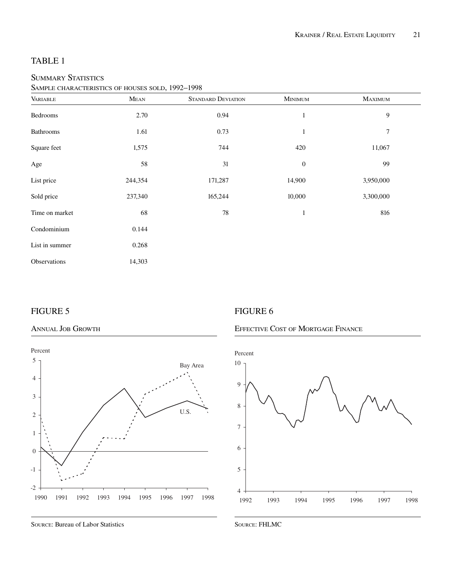### SUMMARY STATISTICS

SAMPLE CHARACTERISTICS OF HOUSES SOLD, 1992–1998

| <b>VARIABLE</b> | MEAN    | <b>STANDARD DEVIATION</b> | <b>MINIMUM</b>   | <b>MAXIMUM</b> |
|-----------------|---------|---------------------------|------------------|----------------|
| Bedrooms        | 2.70    | 0.94                      | $\mathbf{1}$     | 9              |
| Bathrooms       | 1.61    | 0.73                      | $\mathbf{1}$     | $\overline{7}$ |
| Square feet     | 1,575   | 744                       | 420              | 11,067         |
| Age             | 58      | 31                        | $\boldsymbol{0}$ | 99             |
| List price      | 244,354 | 171,287                   | 14,900           | 3,950,000      |
| Sold price      | 237,340 | 165,244                   | 10,000           | 3,300,000      |
| Time on market  | 68      | 78                        | $\mathbf{1}$     | 816            |
| Condominium     | 0.144   |                           |                  |                |
| List in summer  | 0.268   |                           |                  |                |
| Observations    | 14,303  |                           |                  |                |

# FIGURE 5

#### ANNUAL JOB GROWTH



SOURCE: Bureau of Labor Statistics

# FIGURE 6

# EFFECTIVE COST OF MORTGAGE FINANCE



SOURCE: FHLMC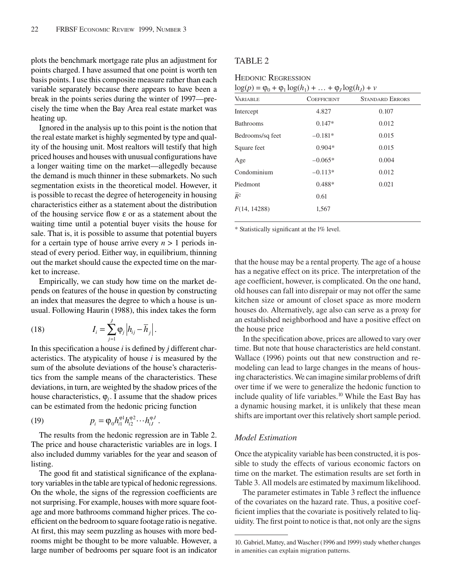plots the benchmark mortgage rate plus an adjustment for points charged. I have assumed that one point is worth ten basis points. I use this composite measure rather than each variable separately because there appears to have been a break in the points series during the winter of 1997—precisely the time when the Bay Area real estate market was heating up.

Ignored in the analysis up to this point is the notion that the real estate market is highly segmented by type and quality of the housing unit. Most realtors will testify that high priced houses and houses with unusual configurations have a longer waiting time on the market—allegedly because the demand is much thinner in these submarkets. No such segmentation exists in the theoretical model. However, it is possible to recast the degree of heterogeneity in housing characteristics either as a statement about the distribution of the housing service flow ε or as a statement about the waiting time until a potential buyer visits the house for sale. That is, it is possible to assume that potential buyers for a certain type of house arrive every  $n > 1$  periods instead of every period. Either way, in equilibrium, thinning out the market should cause the expected time on the market to increase.

Empirically, we can study how time on the market depends on features of the house in question by constructing an index that measures the degree to which a house is unusual. Following Haurin (1988), this index takes the form

(18) 
$$
I_i = \sum_{j=1}^J \varphi_j \left| h_{ij} - \overline{h}_j \right|.
$$

In this specification a house *i* is defined by *j* different characteristics. The atypicality of house *i* is measured by the sum of the absolute deviations of the house's characteristics from the sample means of the characteristics. These deviations, in turn, are weighted by the shadow prices of the house characteristics,  $\varphi_i$ . I assume that the shadow prices can be estimated from the hedonic pricing function

(19) 
$$
p_i = \varphi_0 h_{i1}^{\varphi 1} h_{i2}^{\varphi 2} \cdots h_{iJ}^{\varphi J}.
$$

The results from the hedonic regression are in Table 2. The price and house characteristic variables are in logs. I also included dummy variables for the year and season of listing.

The good fit and statistical significance of the explanatory variables in the table are typical of hedonic regressions. On the whole, the signs of the regression coefficients are not surprising. For example, houses with more square footage and more bathrooms command higher prices. The coefficient on the bedroom to square footage ratio is negative. At first, this may seem puzzling as houses with more bedrooms might be thought to be more valuable. However, a large number of bedrooms per square foot is an indicator

#### TABLE 2

HEDONIC REGRESSION

 $\log(p) = \varphi_0 + \varphi_1 \log(h_1) + \ldots + \varphi_J \log(h_J) + \nu$ 

| $\cdot$          |                    |                        |
|------------------|--------------------|------------------------|
| <b>VARIABLE</b>  | <b>COEFFICIENT</b> | <b>STANDARD ERRORS</b> |
| Intercept        | 4.827              | 0.107                  |
| <b>Bathrooms</b> | $0.147*$           | 0.012                  |
| Bedrooms/sq feet | $-0.181*$          | 0.015                  |
| Square feet      | $0.904*$           | 0.015                  |
| Age              | $-0.065*$          | 0.004                  |
| Condominium      | $-0.113*$          | 0.012                  |
| Piedmont         | 0.488*             | 0.021                  |
| $R^2$            | 0.61               |                        |
| F(14, 14288)     | 1,567              |                        |
|                  |                    |                        |

\* Statistically significant at the l% level.

that the house may be a rental property. The age of a house has a negative effect on its price. The interpretation of the age coefficient, however, is complicated. On the one hand, old houses can fall into disrepair or may not offer the same kitchen size or amount of closet space as more modern houses do. Alternatively, age also can serve as a proxy for an established neighborhood and have a positive effect on the house price

In the specification above, prices are allowed to vary over time. But note that house characteristics are held constant. Wallace (1996) points out that new construction and remodeling can lead to large changes in the means of housing characteristics. We can imagine similar problems of drift over time if we were to generalize the hedonic function to include quality of life variables.10 While the East Bay has a dynamic housing market, it is unlikely that these mean shifts are important over this relatively short sample period.

#### *Model Estimation*

Once the atypicality variable has been constructed, it is possible to study the effects of various economic factors on time on the market. The estimation results are set forth in Table 3. All models are estimated by maximum likelihood.

The parameter estimates in Table 3 reflect the influence of the covariates on the hazard rate. Thus, a positive coefficient implies that the covariate is positively related to liquidity. The first point to notice is that, not only are the signs

<sup>10.</sup> Gabriel, Mattey, and Wascher (1996 and 1999) study whether changes in amenities can explain migration patterns.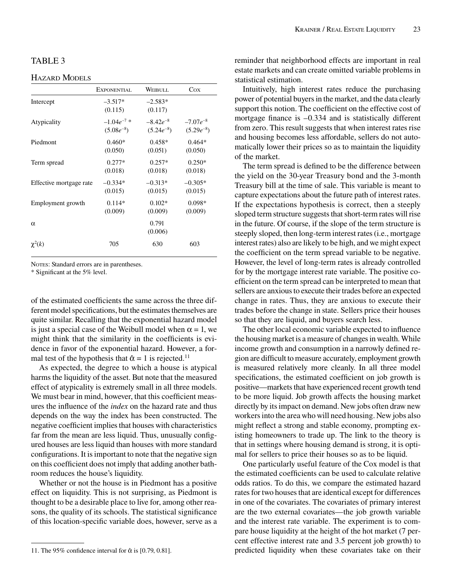## TABLE 3

#### HAZARD MODELS

|                         | EXPONENTIAL          | WEIBULL              | Cox            |
|-------------------------|----------------------|----------------------|----------------|
| Intercept               | $-3.517*$<br>(0.115) | $-2.583*$<br>(0.117) |                |
| Atypicality             | $-1.04e^{-7}$        | $-8.42e^{-8}$        | $-7.07e^{-8}$  |
|                         | $(5.08e^{-8})$       | $(5.24e^{-8})$       | $(5.29e^{-8})$ |
| Piedmont                | $0.460*$             | $0.458*$             | $0.464*$       |
|                         | (0.050)              | (0.051)              | (0.050)        |
| Term spread             | $0.277*$             | $0.257*$             | $0.250*$       |
|                         | (0.018)              | (0.018)              | (0.018)        |
| Effective mortgage rate | $-0.334*$            | $-0.313*$            | $-0.305*$      |
|                         | (0.015)              | (0.015)              | (0.015)        |
| Employment growth       | $0.114*$             | $0.102*$             | $0.098*$       |
|                         | (0.009)              | (0.009)              | (0.009)        |
| $\alpha$                |                      | 0.791<br>(0.006)     |                |
| $\chi^2(k)$             | 705                  | 630                  | 603            |

NOTES: Standard errors are in parentheses.

\* Significant at the 5% level.

of the estimated coefficients the same across the three different model specifications, but the estimates themselves are quite similar. Recalling that the exponential hazard model is just a special case of the Weibull model when  $\alpha = 1$ , we might think that the similarity in the coefficients is evidence in favor of the exponential hazard. However, a formal test of the hypothesis that  $\hat{\alpha} = 1$  is rejected.<sup>11</sup>

As expected, the degree to which a house is atypical harms the liquidity of the asset. But note that the measured effect of atypicality is extremely small in all three models. We must bear in mind, however, that this coefficient measures the influence of the *index* on the hazard rate and thus depends on the way the index has been constructed. The negative coefficient implies that houses with characteristics far from the mean are less liquid. Thus, unusually configured houses are less liquid than houses with more standard configurations. It is important to note that the negative sign on this coefficient does not imply that adding another bathroom reduces the house's liquidity.

Whether or not the house is in Piedmont has a positive effect on liquidity. This is not surprising, as Piedmont is thought to be a desirable place to live for, among other reasons, the quality of its schools. The statistical significance of this location-specific variable does, however, serve as a

reminder that neighborhood effects are important in real estate markets and can create omitted variable problems in statistical estimation.

Intuitively, high interest rates reduce the purchasing power of potential buyers in the market, and the data clearly support this notion. The coefficient on the effective cost of mortgage finance is –0.334 and is statistically different from zero. This result suggests that when interest rates rise and housing becomes less affordable, sellers do not automatically lower their prices so as to maintain the liquidity of the market.

The term spread is defined to be the difference between the yield on the 30-year Treasury bond and the 3-month Treasury bill at the time of sale. This variable is meant to capture expectations about the future path of interest rates. If the expectations hypothesis is correct, then a steeply sloped term structure suggests that short-term rates will rise in the future. Of course, if the slope of the term structure is steeply sloped, then long-term interest rates (i.e., mortgage interest rates) also are likely to be high, and we might expect the coefficient on the term spread variable to be negative. However, the level of long-term rates is already controlled for by the mortgage interest rate variable. The positive coefficient on the term spread can be interpreted to mean that sellers are anxious to execute their trades before an expected change in rates. Thus, they are anxious to execute their trades before the change in state. Sellers price their houses so that they are liquid, and buyers search less.

The other local economic variable expected to influence the housing market is a measure of changes in wealth. While income growth and consumption in a narrowly defined region are difficult to measure accurately, employment growth is measured relatively more cleanly. In all three model specifications, the estimated coefficient on job growth is positive—markets that have experienced recent growth tend to be more liquid. Job growth affects the housing market directly by its impact on demand. New jobs often draw new workers into the area who will need housing. New jobs also might reflect a strong and stable economy, prompting existing homeowners to trade up. The link to the theory is that in settings where housing demand is strong, it is optimal for sellers to price their houses so as to be liquid.

One particularly useful feature of the Cox model is that the estimated coefficients can be used to calculate relative odds ratios. To do this, we compare the estimated hazard rates for two houses that are identical except for differences in one of the covariates. The covariates of primary interest are the two external covariates—the job growth variable and the interest rate variable. The experiment is to compare house liquidity at the height of the hot market (7 percent effective interest rate and 3.5 percent job growth) to predicted liquidity when these covariates take on their

<sup>11.</sup> The 95% confidence interval for  $\hat{\alpha}$  is [0.79, 0.81].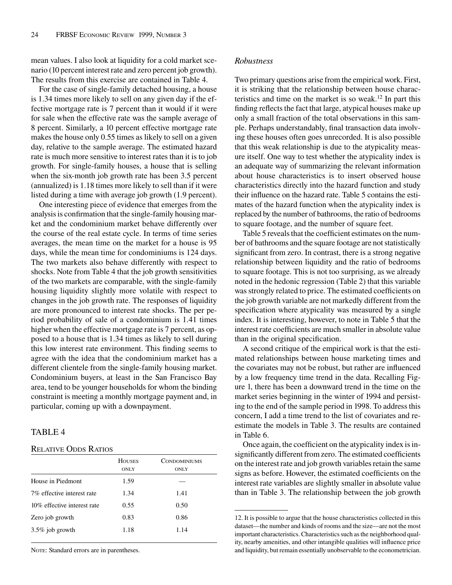mean values. I also look at liquidity for a cold market scenario (10 percent interest rate and zero percent job growth). The results from this exercise are contained in Table 4.

For the case of single-family detached housing, a house is 1.34 times more likely to sell on any given day if the effective mortgage rate is 7 percent than it would if it were for sale when the effective rate was the sample average of 8 percent. Similarly, a 10 percent effective mortgage rate makes the house only 0.55 times as likely to sell on a given day, relative to the sample average. The estimated hazard rate is much more sensitive to interest rates than it is to job growth. For single-family houses, a house that is selling when the six-month job growth rate has been 3.5 percent (annualized) is 1.18 times more likely to sell than if it were listed during a time with average job growth (1.9 percent).

One interesting piece of evidence that emerges from the analysis is confirmation that the single-family housing market and the condominium market behave differently over the course of the real estate cycle. In terms of time series averages, the mean time on the market for a house is 95 days, while the mean time for condominiums is 124 days. The two markets also behave differently with respect to shocks. Note from Table 4 that the job growth sensitivities of the two markets are comparable, with the single-family housing liquidity slightly more volatile with respect to changes in the job growth rate. The responses of liquidity are more pronounced to interest rate shocks. The per period probability of sale of a condominium is 1.41 times higher when the effective mortgage rate is 7 percent, as opposed to a house that is 1.34 times as likely to sell during this low interest rate environment. This finding seems to agree with the idea that the condominium market has a different clientele from the single-family housing market. Condominium buyers, at least in the San Francisco Bay area, tend to be younger households for whom the binding constraint is meeting a monthly mortgage payment and, in particular, coming up with a downpayment.

#### TABLE 4

#### RELATIVE ODDS RATIOS

| <b>HOUSES</b><br><b>ONLY</b> | <b>CONDOMINIUMS</b><br><b>ONLY</b> |
|------------------------------|------------------------------------|
| 1.59                         |                                    |
| 1.34                         | 1.41                               |
| 0.55                         | 0.50                               |
| 0.83                         | 0.86                               |
| 1.18                         | 1.14                               |
|                              |                                    |

NOTE: Standard errors are in parentheses.

#### *Robustness*

Two primary questions arise from the empirical work. First, it is striking that the relationship between house characteristics and time on the market is so weak.<sup>12</sup> In part this finding reflects the fact that large, atypical houses make up only a small fraction of the total observations in this sample. Perhaps understandably, final transaction data involving these houses often goes unrecorded. It is also possible that this weak relationship is due to the atypicality measure itself. One way to test whether the atypicality index is an adequate way of summarizing the relevant information about house characteristics is to insert observed house characteristics directly into the hazard function and study their influence on the hazard rate. Table 5 contains the estimates of the hazard function when the atypicality index is replaced by the number of bathrooms, the ratio of bedrooms to square footage, and the number of square feet.

Table 5 reveals that the coefficient estimates on the number of bathrooms and the square footage are not statistically significant from zero. In contrast, there is a strong negative relationship between liquidity and the ratio of bedrooms to square footage. This is not too surprising, as we already noted in the hedonic regression (Table 2) that this variable was strongly related to price. The estimated coefficients on the job growth variable are not markedly different from the specification where atypicality was measured by a single index. It is interesting, however, to note in Table 5 that the interest rate coefficients are much smaller in absolute value than in the original specification.

A second critique of the empirical work is that the estimated relationships between house marketing times and the covariates may not be robust, but rather are influenced by a low frequency time trend in the data. Recalling Figure 1, there has been a downward trend in the time on the market series beginning in the winter of 1994 and persisting to the end of the sample period in 1998. To address this concern, I add a time trend to the list of covariates and reestimate the models in Table 3. The results are contained in Table 6.

Once again, the coefficient on the atypicality index is insignificantly different from zero. The estimated coefficients on the interest rate and job growth variables retain the same signs as before. However, the estimated coefficients on the interest rate variables are slightly smaller in absolute value than in Table 3. The relationship between the job growth

<sup>12.</sup> It is possible to argue that the house characteristics collected in this dataset—the number and kinds of rooms and the size—are not the most important characteristics. Characteristics such as the neighborhood quality, nearby amenities, and other intangible qualities will influence price and liquidity, but remain essentially unobservable to the econometrician.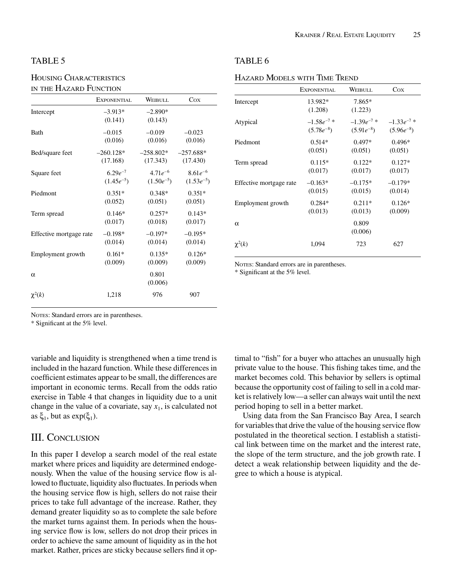### TABLE 5

## HOUSING CHARACTERISTICS IN THE HAZARD FUNCTION

|                         | EXPONENTIAL          | WEIBULL              | Cox            |
|-------------------------|----------------------|----------------------|----------------|
| Intercept               | $-3.913*$<br>(0.141) | $-2.890*$<br>(0.143) |                |
| <b>Bath</b>             | $-0.015$             | $-0.019$             | $-0.023$       |
|                         | (0.016)              | (0.016)              | (0.016)        |
| Bed/square feet         | $-260.128*$          | $-258.802*$          | $-257.688*$    |
|                         | (17.168)             | (17.343)             | (17.430)       |
| Square feet             | $6.29e^{-7}$         | $4.71e^{-6}$         | $8.61e^{-6}$   |
|                         | $(1.45e^{-5})$       | $(1.50e^{-5})$       | $(1.53e^{-5})$ |
| Piedmont                | $0.351*$             | $0.348*$             | $0.351*$       |
|                         | (0.052)              | (0.051)              | (0.051)        |
| Term spread             | $0.146*$             | $0.257*$             | $0.143*$       |
|                         | (0.017)              | (0.018)              | (0.017)        |
| Effective mortgage rate | $-0.198*$            | $-0.197*$            | $-0.195*$      |
|                         | (0.014)              | (0.014)              | (0.014)        |
| Employment growth       | $0.161*$             | $0.135*$             | $0.126*$       |
|                         | (0.009)              | (0.009)              | (0.009)        |
| $\alpha$                |                      | 0.801<br>(0.006)     |                |
| $\chi^2(k)$             | 1,218                | 976                  | 907            |

| KRAINER / REAL ESTATE LIQUIDITY | 25 |
|---------------------------------|----|
|---------------------------------|----|

#### TABLE 6

#### HAZARD MODELS WITH TIME TREND

|                         | EXPONENTIAL        | WEIBULL           | $\cos$          |
|-------------------------|--------------------|-------------------|-----------------|
| Intercept               | 13.982*<br>(1.208) | 7.865*<br>(1.223) |                 |
| Atypical                | $-1.58e^{-7}$ *    | $-1.39e^{-7}$ *   | $-1.33e^{-7}$ * |
|                         | $(5.78e^{-8})$     | $(5.91e^{-8})$    | $(5.96e^{-8})$  |
| Piedmont                | $0.514*$           | $0.497*$          | $0.496*$        |
|                         | (0.051)            | (0.051)           | (0.051)         |
| Term spread             | $0.115*$           | $0.122*$          | $0.127*$        |
|                         | (0.017)            | (0.017)           | (0.017)         |
| Effective mortgage rate | $-0.163*$          | $-0.175*$         | $-0.179*$       |
|                         | (0.015)            | (0.015)           | (0.014)         |
| Employment growth       | $0.284*$           | $0.211*$          | $0.126*$        |
|                         | (0.013)            | (0.013)           | (0.009)         |
| $\alpha$                |                    | 0.809<br>(0.006)  |                 |
| $\chi^2(k)$             | 1.094              | 723               | 627             |

NOTES: Standard errors are in parentheses.

\* Significant at the 5% level.

NOTES: Standard errors are in parentheses.

\* Significant at the 5% level.

variable and liquidity is strengthened when a time trend is included in the hazard function. While these differences in coefficient estimates appear to be small, the differences are important in economic terms. Recall from the odds ratio exercise in Table 4 that changes in liquidity due to a unit change in the value of a covariate, say  $x_1$ , is calculated not as  $\xi_1$ , but as  $exp(\xi_1)$ .

# III. CONCLUSION

In this paper I develop a search model of the real estate market where prices and liquidity are determined endogenously. When the value of the housing service flow is allowed to fluctuate, liquidity also fluctuates. In periods when the housing service flow is high, sellers do not raise their prices to take full advantage of the increase. Rather, they demand greater liquidity so as to complete the sale before the market turns against them. In periods when the housing service flow is low, sellers do not drop their prices in order to achieve the same amount of liquidity as in the hot market. Rather, prices are sticky because sellers find it optimal to "fish" for a buyer who attaches an unusually high private value to the house. This fishing takes time, and the market becomes cold. This behavior by sellers is optimal because the opportunity cost of failing to sell in a cold market is relatively low—a seller can always wait until the next period hoping to sell in a better market.

Using data from the San Francisco Bay Area, I search for variables that drive the value of the housing service flow postulated in the theoretical section. I establish a statistical link between time on the market and the interest rate, the slope of the term structure, and the job growth rate. I detect a weak relationship between liquidity and the degree to which a house is atypical.